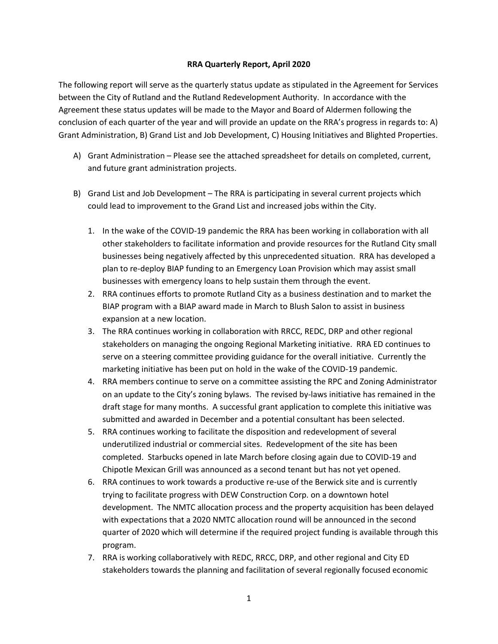## **RRA Quarterly Report, April 2020**

The following report will serve as the quarterly status update as stipulated in the Agreement for Services between the City of Rutland and the Rutland Redevelopment Authority. In accordance with the Agreement these status updates will be made to the Mayor and Board of Aldermen following the conclusion of each quarter of the year and will provide an update on the RRA's progress in regards to: A) Grant Administration, B) Grand List and Job Development, C) Housing Initiatives and Blighted Properties.

- A) Grant Administration Please see the attached spreadsheet for details on completed, current, and future grant administration projects.
- B) Grand List and Job Development The RRA is participating in several current projects which could lead to improvement to the Grand List and increased jobs within the City.
	- 1. In the wake of the COVID-19 pandemic the RRA has been working in collaboration with all other stakeholders to facilitate information and provide resources for the Rutland City small businesses being negatively affected by this unprecedented situation. RRA has developed a plan to re-deploy BIAP funding to an Emergency Loan Provision which may assist small businesses with emergency loans to help sustain them through the event.
	- 2. RRA continues efforts to promote Rutland City as a business destination and to market the BIAP program with a BIAP award made in March to Blush Salon to assist in business expansion at a new location.
	- 3. The RRA continues working in collaboration with RRCC, REDC, DRP and other regional stakeholders on managing the ongoing Regional Marketing initiative. RRA ED continues to serve on a steering committee providing guidance for the overall initiative. Currently the marketing initiative has been put on hold in the wake of the COVID-19 pandemic.
	- 4. RRA members continue to serve on a committee assisting the RPC and Zoning Administrator on an update to the City's zoning bylaws. The revised by-laws initiative has remained in the draft stage for many months. A successful grant application to complete this initiative was submitted and awarded in December and a potential consultant has been selected.
	- 5. RRA continues working to facilitate the disposition and redevelopment of several underutilized industrial or commercial sites. Redevelopment of the site has been completed. Starbucks opened in late March before closing again due to COVID-19 and Chipotle Mexican Grill was announced as a second tenant but has not yet opened.
	- 6. RRA continues to work towards a productive re-use of the Berwick site and is currently trying to facilitate progress with DEW Construction Corp. on a downtown hotel development. The NMTC allocation process and the property acquisition has been delayed with expectations that a 2020 NMTC allocation round will be announced in the second quarter of 2020 which will determine if the required project funding is available through this program.
	- 7. RRA is working collaboratively with REDC, RRCC, DRP, and other regional and City ED stakeholders towards the planning and facilitation of several regionally focused economic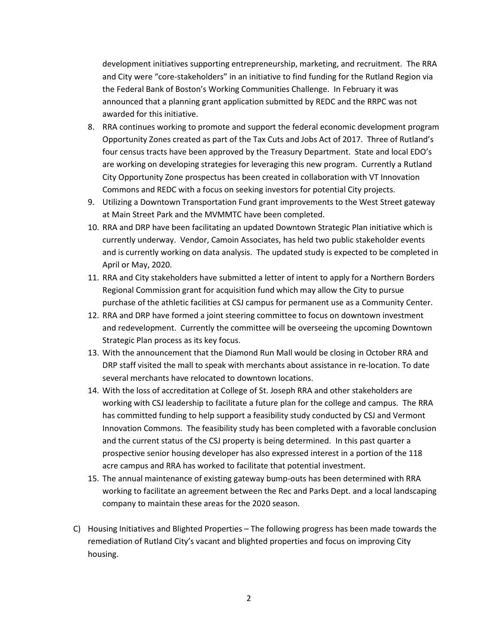development initiatives supporting entrepreneurship, marketing, and recruitment. The RRA and City were "core-stakeholders" in an initiative to find funding for the Rutland Region via the Federal Bank of Boston's Working Communities Challenge. In February it was announced that a planning grant application submitted by REDC and the RRPC was not awarded for this initiative.

- 8. RRA continues working to promote and support the federal economic development program Opportunity Zones created as part of the Tax Cuts and Jobs Act of 2017. Three of Rutland's four census tracts have been approved by the Treasury Department. State and local EDO's are working on developing strategies for leveraging this new program. Currently a Rutland City Opportunity Zone prospectus has been created in collaboration with VT Innovation Commons and REDC with a focus on seeking investors for potential City projects.
- 9. Utilizing a Downtown Transportation Fund grant improvements to the West Street gateway at Main Street Park and the MVMMTC have been completed.
- 10. RRA and DRP have been facilitating an updated Downtown Strategic Plan initiative which is currently underway. Vendor, Camoin Associates, has held two public stakeholder events and is currently working on data analysis. The updated study is expected to be completed in April or May, 2020.
- 11. RRA and City stakeholders have submitted a letter of intent to apply for a Northern Borders Regional Commission grant for acquisition fund which may allow the City to pursue purchase of the athletic facilities at CSJ campus for permanent use as a Community Center.
- 12. RRA and DRP have formed a joint steering committee to focus on downtown investment and redevelopment. Currently the committee will be overseeing the upcoming Downtown Strategic Plan process as its key focus.
- 13. With the announcement that the Diamond Run Mall would be closing in October RRA and DRP staff visited the mall to speak with merchants about assistance in re-location. To date several merchants have relocated to downtown locations.
- 14. With the loss of accreditation at College of St. Joseph RRA and other stakeholders are working with CSJ leadership to facilitate a future plan for the college and campus. The RRA has committed funding to help support a feasibility study conducted by CSJ and Vermont Innovation Commons. The feasibility study has been completed with a favorable conclusion and the current status of the CSJ property is being determined. In this past quarter a prospective senior housing developer has also expressed interest in a portion of the 118 acre campus and RRA has worked to facilitate that potential investment.
- 15. The annual maintenance of existing gateway bump-outs has been determined with RRA working to facilitate an agreement between the Rec and Parks Dept. and a local landscaping company to maintain these areas for the 2020 season.
- C) Housing Initiatives and Blighted Properties The following progress has been made towards the remediation of Rutland City's vacant and blighted properties and focus on improving City housing.